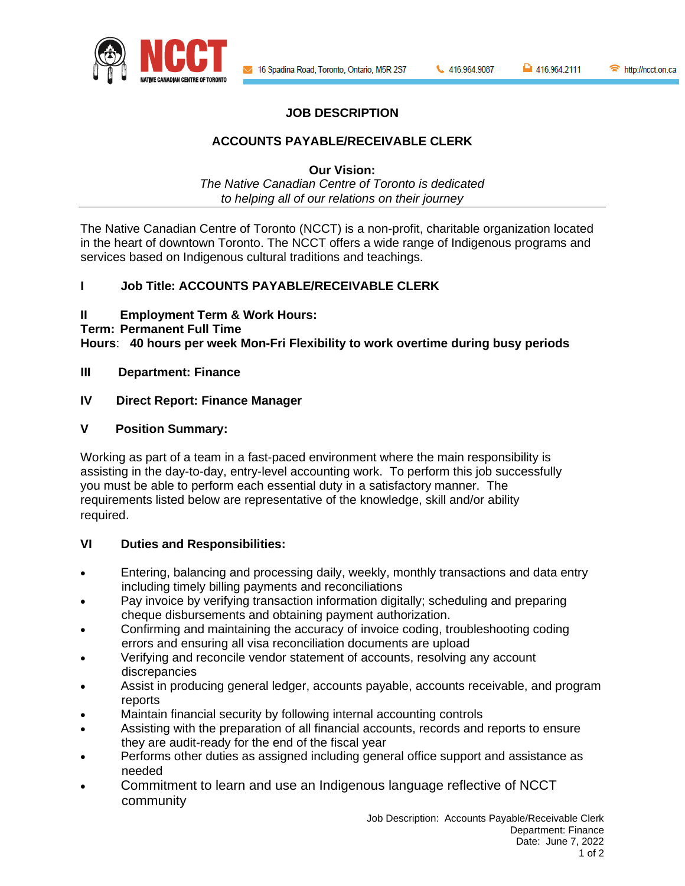

# **JOB DESCRIPTION**

## **ACCOUNTS PAYABLE/RECEIVABLE CLERK**

**Our Vision:**

*The Native Canadian Centre of Toronto is dedicated to helping all of our relations on their journey*

The Native Canadian Centre of Toronto (NCCT) is a non-profit, charitable organization located in the heart of downtown Toronto. The NCCT offers a wide range of Indigenous programs and services based on Indigenous cultural traditions and teachings.

## **I Job Title: ACCOUNTS PAYABLE/RECEIVABLE CLERK**

### **II Employment Term & Work Hours:**

#### **Term: Permanent Full Time**

**Hours**: **40 hours per week Mon-Fri Flexibility to work overtime during busy periods**

**III Department: Finance**

## **IV Direct Report: Finance Manager**

### **V Position Summary:**

Working as part of a team in a fast-paced environment where the main responsibility is assisting in the day-to-day, entry-level accounting work. To perform this job successfully you must be able to perform each essential duty in a satisfactory manner. The requirements listed below are representative of the knowledge, skill and/or ability required.

### **VI Duties and Responsibilities:**

- Entering, balancing and processing daily, weekly, monthly transactions and data entry including timely billing payments and reconciliations
- Pay invoice by verifying transaction information digitally; scheduling and preparing cheque disbursements and obtaining payment authorization.
- Confirming and maintaining the accuracy of invoice coding, troubleshooting coding errors and ensuring all visa reconciliation documents are upload
- Verifying and reconcile vendor statement of accounts, resolving any account discrepancies
- Assist in producing general ledger, accounts payable, accounts receivable, and program reports
- Maintain financial security by following internal accounting controls
- Assisting with the preparation of all financial accounts, records and reports to ensure they are audit-ready for the end of the fiscal year
- Performs other duties as assigned including general office support and assistance as needed
- Commitment to learn and use an Indigenous language reflective of NCCT community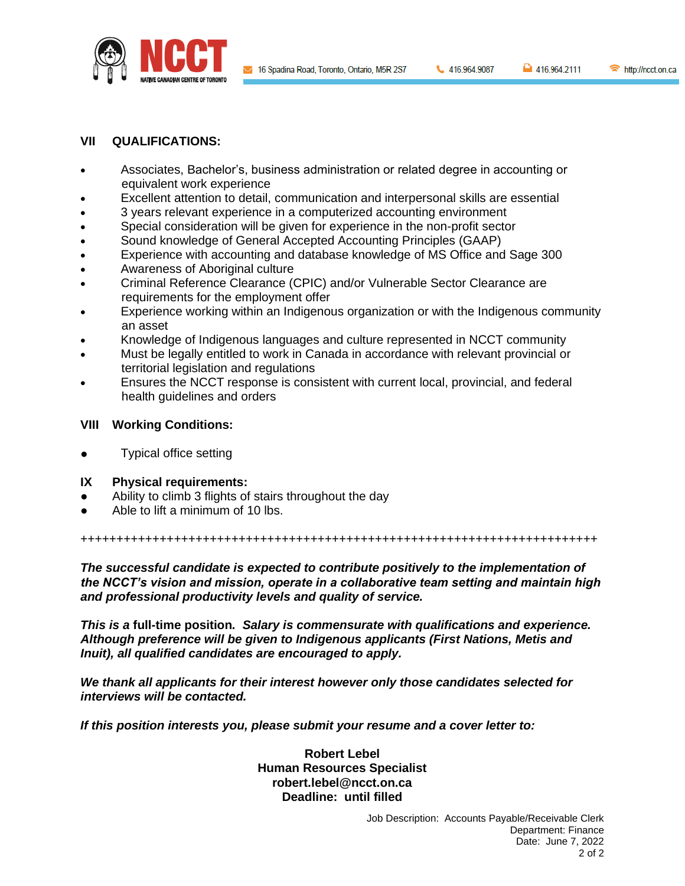

416.964.9087

http://ncct.on.ca

# **VII QUALIFICATIONS:**

- Associates, Bachelor's, business administration or related degree in accounting or equivalent work experience
- Excellent attention to detail, communication and interpersonal skills are essential
- 3 years relevant experience in a computerized accounting environment
- Special consideration will be given for experience in the non-profit sector
- Sound knowledge of General Accepted Accounting Principles (GAAP)
- Experience with accounting and database knowledge of MS Office and Sage 300
- Awareness of Aboriginal culture
- Criminal Reference Clearance (CPIC) and/or Vulnerable Sector Clearance are requirements for the employment offer
- Experience working within an Indigenous organization or with the Indigenous community an asset
- Knowledge of Indigenous languages and culture represented in NCCT community
- Must be legally entitled to work in Canada in accordance with relevant provincial or territorial legislation and regulations
- Ensures the NCCT response is consistent with current local, provincial, and federal health guidelines and orders

### **VIII Working Conditions:**

**Typical office setting** 

### **IX Physical requirements:**

- Ability to climb 3 flights of stairs throughout the day
- Able to lift a minimum of 10 lbs.

++++++++++++++++++++++++++++++++++++++++++++++++++++++++++++++++++++++++

*The successful candidate is expected to contribute positively to the implementation of the NCCT's vision and mission, operate in a collaborative team setting and maintain high and professional productivity levels and quality of service.*

*This is a* **full-time position***. Salary is commensurate with qualifications and experience. Although preference will be given to Indigenous applicants (First Nations, Metis and Inuit), all qualified candidates are encouraged to apply.*

*We thank all applicants for their interest however only those candidates selected for interviews will be contacted.*

*If this position interests you, please submit your resume and a cover letter to:*

**Robert Lebel Human Resources Specialist robert.lebel@ncct.on.ca Deadline: until filled**